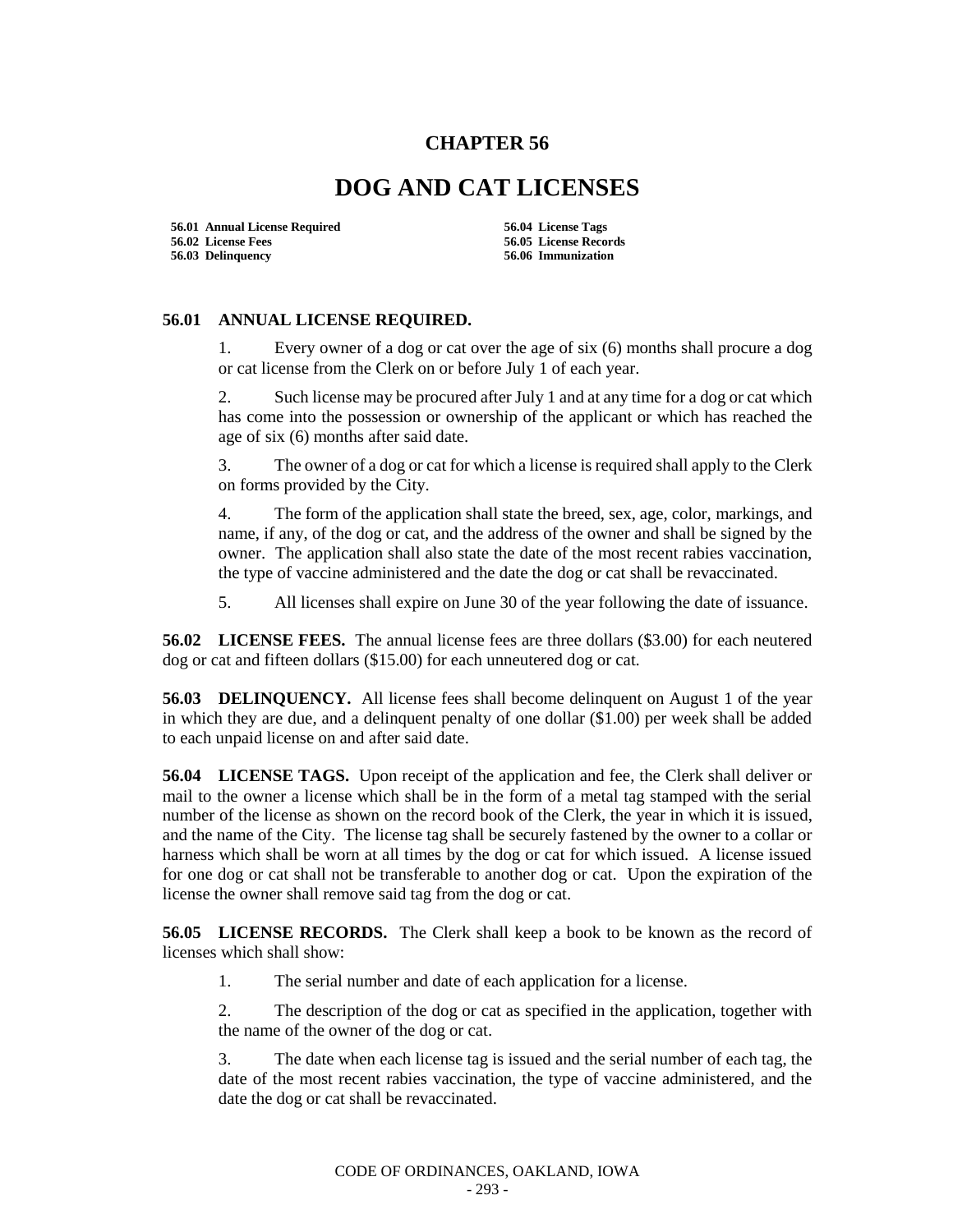## **CHAPTER 56**

## **DOG AND CAT LICENSES**

**56.01 Annual License Required 56.04 License Tags 56.02 License Fees 56.05 License Records 56.03 Delinquency 56.06 Immunization**

## **56.01 ANNUAL LICENSE REQUIRED.**

1. Every owner of a dog or cat over the age of six (6) months shall procure a dog or cat license from the Clerk on or before July 1 of each year.

2. Such license may be procured after July 1 and at any time for a dog or cat which has come into the possession or ownership of the applicant or which has reached the age of six (6) months after said date.

3. The owner of a dog or cat for which a license is required shall apply to the Clerk on forms provided by the City.

4. The form of the application shall state the breed, sex, age, color, markings, and name, if any, of the dog or cat, and the address of the owner and shall be signed by the owner. The application shall also state the date of the most recent rabies vaccination, the type of vaccine administered and the date the dog or cat shall be revaccinated.

5. All licenses shall expire on June 30 of the year following the date of issuance.

**56.02 LICENSE FEES.** The annual license fees are three dollars (\$3.00) for each neutered dog or cat and fifteen dollars (\$15.00) for each unneutered dog or cat.

**56.03 DELINQUENCY.** All license fees shall become delinquent on August 1 of the year in which they are due, and a delinquent penalty of one dollar (\$1.00) per week shall be added to each unpaid license on and after said date.

**56.04 LICENSE TAGS.** Upon receipt of the application and fee, the Clerk shall deliver or mail to the owner a license which shall be in the form of a metal tag stamped with the serial number of the license as shown on the record book of the Clerk, the year in which it is issued, and the name of the City. The license tag shall be securely fastened by the owner to a collar or harness which shall be worn at all times by the dog or cat for which issued. A license issued for one dog or cat shall not be transferable to another dog or cat. Upon the expiration of the license the owner shall remove said tag from the dog or cat.

**56.05 LICENSE RECORDS.** The Clerk shall keep a book to be known as the record of licenses which shall show:

1. The serial number and date of each application for a license.

2. The description of the dog or cat as specified in the application, together with the name of the owner of the dog or cat.

3. The date when each license tag is issued and the serial number of each tag, the date of the most recent rabies vaccination, the type of vaccine administered, and the date the dog or cat shall be revaccinated.